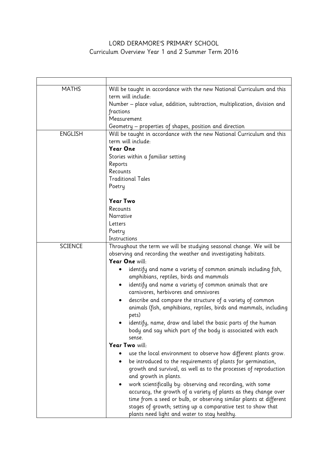## LORD DERAMORE'S PRIMARY SCHOOL Curriculum Overview Year 1 and 2 Summer Term 2016

| <b>MATHS</b>   | Will be taught in accordance with the new National Curriculum and this    |
|----------------|---------------------------------------------------------------------------|
|                | term will include:                                                        |
|                | Number - place value, addition, subtraction, multiplication, division and |
|                | fractions                                                                 |
|                | Measurement                                                               |
|                | Geometry – properties of shapes, position and direction                   |
| <b>ENGLISH</b> | Will be taught in accordance with the new National Curriculum and this    |
|                | term will include:                                                        |
|                | <b>Year One</b>                                                           |
|                | Stories within a familiar setting                                         |
|                | Reports                                                                   |
|                | Recounts                                                                  |
|                | <b>Traditional Tales</b>                                                  |
|                | Poetry                                                                    |
|                | <b>Year Two</b>                                                           |
|                | Recounts                                                                  |
|                | Narrative                                                                 |
|                | Letters                                                                   |
|                | Poetry                                                                    |
|                | Instructions                                                              |
| <b>SCIENCE</b> | Throughout the term we will be studying seasonal change. We will be       |
|                | observing and recording the weather and investigating habitats.           |
|                | Year One will:                                                            |
|                | identify and name a variety of common animals including fish,<br>٠        |
|                | amphibians, reptiles, birds and mammals                                   |
|                | identify and name a variety of common animals that are<br>٠               |
|                | carnivores, herbivores and omnivores                                      |
|                | describe and compare the structure of a variety of common                 |
|                | animals (fish, amphibians, reptiles, birds and mammals, including         |
|                | pets)                                                                     |
|                | identify, name, draw and label the basic parts of the human               |
|                | body and say which part of the body is associated with each               |
|                | sense.                                                                    |
|                | Year Two will:                                                            |
|                | use the local environment to observe how different plants grow.           |
|                | be introduced to the requirements of plants for germination,              |
|                | growth and survival, as well as to the processes of reproduction          |
|                | and growth in plants.                                                     |
|                | work scientifically by: observing and recording, with some<br>٠           |
|                | accuracy, the growth of a variety of plants as they change over           |
|                | time from a seed or bulb, or observing similar plants at different        |
|                | stages of growth; setting up a comparative test to show that              |
|                | plants need light and water to stay healthy.                              |